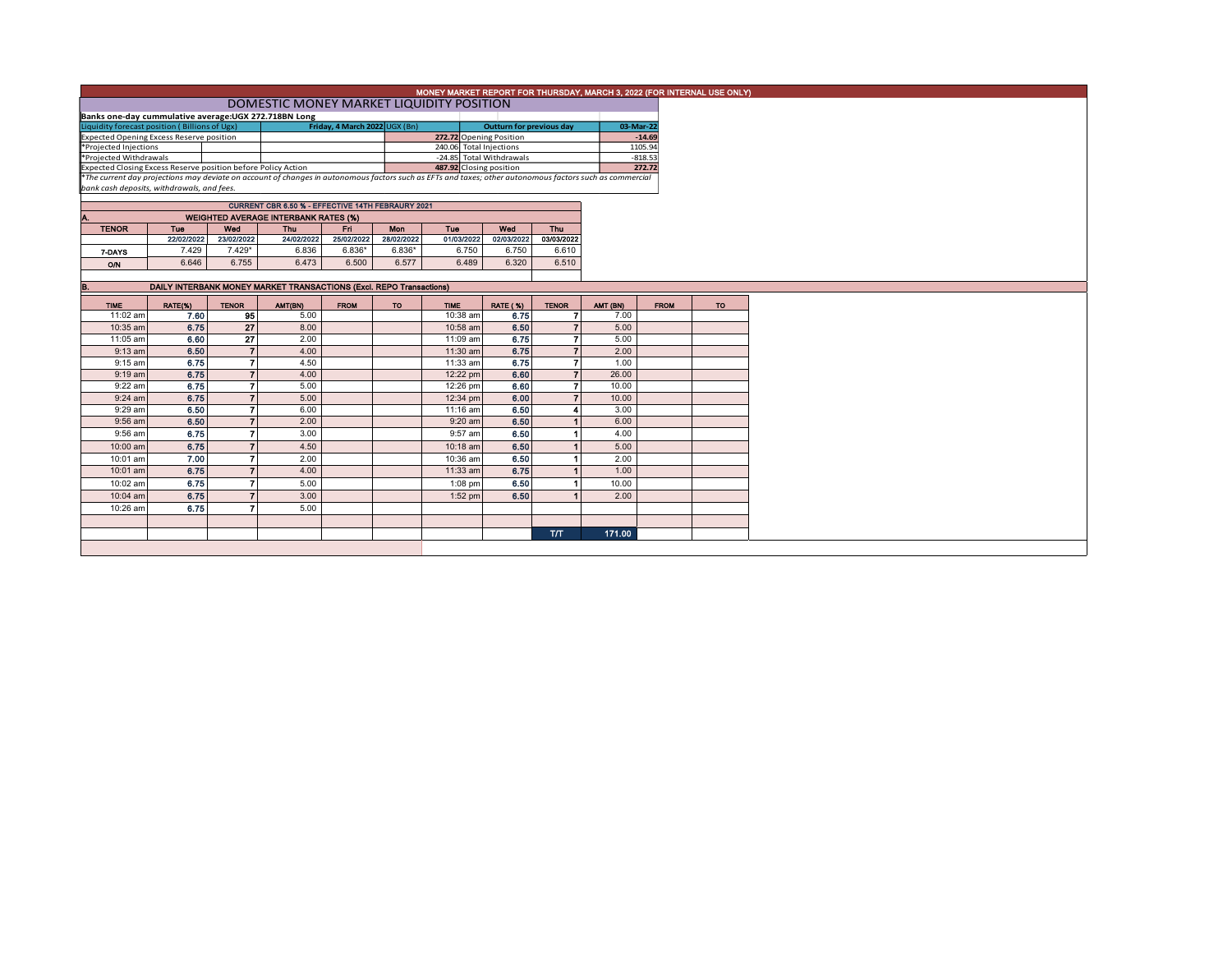|                                                                                                                                                          |                                                                            |                 |                                             |                        |            | MONEY MARKET REPORT FOR THURSDAY, MARCH 3, 2022 (FOR INTERNAL USE ONLY) |                          |                          |                     |             |           |  |
|----------------------------------------------------------------------------------------------------------------------------------------------------------|----------------------------------------------------------------------------|-----------------|---------------------------------------------|------------------------|------------|-------------------------------------------------------------------------|--------------------------|--------------------------|---------------------|-------------|-----------|--|
|                                                                                                                                                          | DOMESTIC MONEY MARKET LIQUIDITY POSITION                                   |                 |                                             |                        |            |                                                                         |                          |                          |                     |             |           |  |
| Banks one-day cummulative average: UGX 272.718BN Long                                                                                                    |                                                                            |                 |                                             |                        |            |                                                                         |                          |                          |                     |             |           |  |
| Liquidity forecast position (Billions of Ugx)<br>Friday, 4 March 2022 UGX (Bn)                                                                           |                                                                            |                 |                                             |                        |            |                                                                         | Outturn for previous day |                          | 03-Mar-22           |             |           |  |
| <b>Expected Opening Excess Reserve position</b>                                                                                                          |                                                                            |                 |                                             |                        |            | 272.72 Opening Position                                                 |                          |                          | $-14.69$            |             |           |  |
| *Projected Injections                                                                                                                                    |                                                                            |                 |                                             |                        |            | 240.06 Total Injections                                                 |                          |                          | 1105.94             |             |           |  |
| *Projected Withdrawals<br>Expected Closing Excess Reserve position before Policy Action                                                                  |                                                                            |                 |                                             |                        |            | -24.85 Total Withdrawals<br>487.92 Closing position                     |                          |                          | $-818.53$<br>272.72 |             |           |  |
| *The current day projections may deviate on account of changes in autonomous factors such as EFTs and taxes; other autonomous factors such as commercial |                                                                            |                 |                                             |                        |            |                                                                         |                          |                          |                     |             |           |  |
| bank cash deposits, withdrawals, and fees.                                                                                                               |                                                                            |                 |                                             |                        |            |                                                                         |                          |                          |                     |             |           |  |
|                                                                                                                                                          | CURRENT CBR 6.50 % - EFFECTIVE 14TH FEBRAURY 2021                          |                 |                                             |                        |            |                                                                         |                          |                          |                     |             |           |  |
|                                                                                                                                                          |                                                                            |                 |                                             |                        |            |                                                                         |                          |                          |                     |             |           |  |
| Α.                                                                                                                                                       |                                                                            |                 | <b>WEIGHTED AVERAGE INTERBANK RATES (%)</b> |                        |            |                                                                         |                          |                          |                     |             |           |  |
| <b>TENOR</b>                                                                                                                                             | Tue<br>22/02/2022                                                          | Wed             | Thu                                         | Fn.                    | Mon        | Tue                                                                     | Wed                      | <b>Thu</b>               |                     |             |           |  |
|                                                                                                                                                          |                                                                            | 23/02/2022      | 24/02/2022                                  | 25/02/2022<br>$6.836*$ | 28/02/2022 | 01/03/2022                                                              | 02/03/2022               | 03/03/2022               |                     |             |           |  |
| 7-DAYS                                                                                                                                                   | 7.429                                                                      | 7.429*          | 6.836                                       |                        | $6.836*$   | 6.750                                                                   | 6.750                    | 6.610                    |                     |             |           |  |
| O/N                                                                                                                                                      | 6.646                                                                      | 6.755           | 6.473                                       | 6.500                  | 6.577      | 6.489                                                                   | 6.320                    | 6.510                    |                     |             |           |  |
|                                                                                                                                                          | <b>DAILY INTERBANK MONEY MARKET TRANSACTIONS (Excl. REPO Transactions)</b> |                 |                                             |                        |            |                                                                         |                          |                          |                     |             |           |  |
| B.                                                                                                                                                       |                                                                            |                 |                                             |                        |            |                                                                         |                          |                          |                     |             |           |  |
| <b>TIME</b>                                                                                                                                              | RATE(%)                                                                    | <b>TENOR</b>    | AMT(BN)                                     | <b>FROM</b>            | TO         | <b>TIME</b>                                                             | <b>RATE (%)</b>          | <b>TENOR</b>             | AMT (BN)            | <b>FROM</b> | <b>TO</b> |  |
| 11:02 am                                                                                                                                                 | 7.60                                                                       | 95              | 5.00                                        |                        |            | 10:38 am                                                                | 6.75                     |                          | 7.00                |             |           |  |
| 10:35 am                                                                                                                                                 | 6.75                                                                       | 27              | 8.00                                        |                        |            | 10:58 am                                                                | 6.50                     |                          | 5.00                |             |           |  |
| 11:05 am                                                                                                                                                 | 6.60                                                                       | $\overline{27}$ | 2.00                                        |                        |            | 11:09 am                                                                | 6.75                     |                          | 5.00                |             |           |  |
| $9:13$ am                                                                                                                                                | 6.50                                                                       | 7               | 4.00                                        |                        |            | 11:30 am                                                                | 6.75                     | $\overline{\phantom{a}}$ | 2.00                |             |           |  |
| $9:15$ am                                                                                                                                                | 6.75                                                                       | 7               | 4.50                                        |                        |            | 11:33 am                                                                | 6.75                     | 7                        | 1.00                |             |           |  |
| $9:19$ am                                                                                                                                                | 6.75                                                                       |                 | 4.00                                        |                        |            | 12:22 pm                                                                | 6.60                     |                          | 26.00               |             |           |  |
| 9:22 am                                                                                                                                                  | 6.75                                                                       | 7               | 5.00                                        |                        |            | 12:26 pm                                                                | 6.60                     |                          | 10.00               |             |           |  |
| $9:24$ am                                                                                                                                                | 6.75                                                                       | $\overline{ }$  | 5.00                                        |                        |            | 12:34 pm                                                                | 6.00                     |                          | 10.00               |             |           |  |
| 9:29 am                                                                                                                                                  | 6.50                                                                       | 7               | 6.00                                        |                        |            | 11:16 am                                                                | 6.50                     |                          | 3.00                |             |           |  |
| 9:56 am                                                                                                                                                  | 6.50                                                                       |                 | 2.00                                        |                        |            | $9:20$ am                                                               | 6.50                     |                          | 6.00                |             |           |  |
| 9:56 am                                                                                                                                                  | 6.75                                                                       | 7               | 3.00                                        |                        |            | 9:57 am                                                                 | 6.50                     |                          | 4.00                |             |           |  |
| 10:00 am                                                                                                                                                 | 6.75                                                                       |                 | 4.50                                        |                        |            | 10:18 am                                                                | 6.50                     |                          | 5.00                |             |           |  |
| 10:01 am                                                                                                                                                 | 7.00                                                                       |                 | 2.00                                        |                        |            | 10:36 am                                                                | 6.50                     |                          | 2.00                |             |           |  |
| 10:01 am                                                                                                                                                 | 6.75                                                                       |                 | 4.00                                        |                        |            | 11:33 am                                                                | 6.75                     |                          | 1.00                |             |           |  |
| 10:02 am                                                                                                                                                 | 6.75                                                                       |                 | 5.00                                        |                        |            | $1:08$ pm                                                               | 6.50                     |                          | 10.00               |             |           |  |
| 10:04 am                                                                                                                                                 | 6.75                                                                       |                 | 3.00                                        |                        |            | $1:52$ pm                                                               | 6.50                     |                          | 2.00                |             |           |  |
| 10:26 am                                                                                                                                                 | 6.75                                                                       |                 | 5.00                                        |                        |            |                                                                         |                          |                          |                     |             |           |  |
|                                                                                                                                                          |                                                                            |                 |                                             |                        |            |                                                                         |                          |                          |                     |             |           |  |
|                                                                                                                                                          |                                                                            |                 |                                             |                        |            |                                                                         |                          | T/T                      | 171.00              |             |           |  |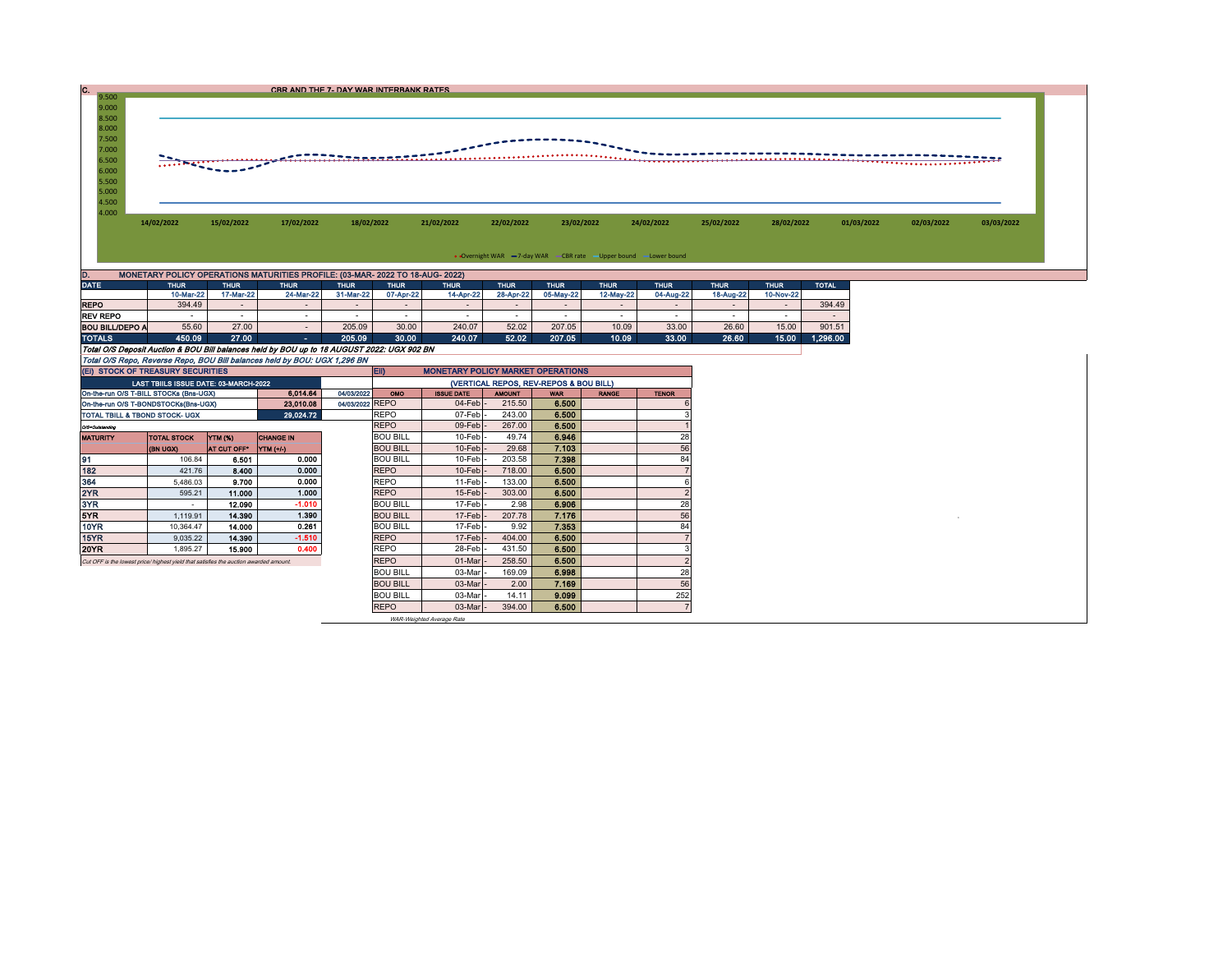| $9.500 -$      |                                                                               |            |            | CBR AND THE 7- DAY WAR INTERBANK RATES |            |            |            |                                                                 |            |            |            |            |            |
|----------------|-------------------------------------------------------------------------------|------------|------------|----------------------------------------|------------|------------|------------|-----------------------------------------------------------------|------------|------------|------------|------------|------------|
| 9.000          |                                                                               |            |            |                                        |            |            |            |                                                                 |            |            |            |            |            |
| 8.500          |                                                                               |            |            |                                        |            |            |            |                                                                 |            |            |            |            |            |
| 8.000          |                                                                               |            |            |                                        |            |            |            |                                                                 |            |            |            |            |            |
| 7.500<br>7.000 |                                                                               |            |            |                                        |            |            |            |                                                                 |            |            |            |            |            |
| 6.500          |                                                                               |            |            | _____ <del>__________</del> _________  |            |            |            |                                                                 |            |            |            |            |            |
| 6.000          |                                                                               |            |            |                                        |            |            |            |                                                                 |            |            |            |            |            |
| 5.500<br>5.000 |                                                                               |            |            |                                        |            |            |            |                                                                 |            |            |            |            |            |
| 4.500          |                                                                               |            |            |                                        |            |            |            |                                                                 |            |            |            |            |            |
| 4.000          |                                                                               |            |            |                                        |            |            |            |                                                                 |            |            |            |            |            |
|                | 14/02/2022                                                                    | 15/02/2022 | 17/02/2022 | 18/02/2022                             | 21/02/2022 | 22/02/2022 | 23/02/2022 | 24/02/2022                                                      | 25/02/2022 | 28/02/2022 | 01/03/2022 | 02/03/2022 | 03/03/2022 |
|                |                                                                               |            |            |                                        |            |            |            |                                                                 |            |            |            |            |            |
|                |                                                                               |            |            |                                        |            |            |            | • Overnight WAR -7-day WAR -CBR rate - Upper bound -Lower bound |            |            |            |            |            |
|                | MONETARY POLICY OPERATIONS MATURITIES PROFILE: (03-MAR- 2022 TO 18-AUG- 2022) |            |            |                                        |            |            |            |                                                                 |            |            |            |            |            |

| <b>DATE</b>                                                               | <b>THUR</b>                                                                                | <b>THUR</b> | <b>THUR</b> | <b>THUR</b> | <b>THUR</b>                              | <b>THUR</b> | <b>THUR</b> | <b>THUR</b> | <b>THUR</b> | <b>THUR</b> | <b>THUR</b> | <b>THUR</b> | <b>TOTAL</b> |  |  |
|---------------------------------------------------------------------------|--------------------------------------------------------------------------------------------|-------------|-------------|-------------|------------------------------------------|-------------|-------------|-------------|-------------|-------------|-------------|-------------|--------------|--|--|
|                                                                           | 10-Mar-22                                                                                  | 17-Mar-22   | 24-Mar-22   | 31-Mar-22   | 07-Apr-22                                | 14-Apr-22   | 28-Apr-22   | 05-May-22   | 12-May-22   | 04-Aug-22   | 18-Aug-22   | 10-Nov-22   |              |  |  |
| <b>REPO</b>                                                               | 394.49                                                                                     |             |             |             |                                          |             |             |             |             |             |             |             | 394.49       |  |  |
| <b>REV REPO</b>                                                           | . .                                                                                        |             |             |             |                                          |             |             |             |             |             |             |             |              |  |  |
| <b>BOU BILL/DEPO A</b>                                                    | 55.60                                                                                      | 27.00       |             | 205.09      | 30.00                                    | 240.07      | 52.02       | 207.05      | 10.09       | 33.00       | 26.60       | 15.00       | 901.51       |  |  |
| <b>TOTALS</b>                                                             | 450.09                                                                                     | 27.00       | . .         | 205.09      | 30.00                                    | 240.07      | 52.02       | 207.05      | 10.09       | 33.00       | 26.60       | 15.00       | 1.296.00     |  |  |
|                                                                           | Total O/S Deposit Auction & BOU Bill balances held by BOU up to 18 AUGUST 2022: UGX 902 BN |             |             |             |                                          |             |             |             |             |             |             |             |              |  |  |
| Total O/S Repo, Reverse Repo, BOU Bill balances held by BOU: UGX 1,296 BN |                                                                                            |             |             |             |                                          |             |             |             |             |             |             |             |              |  |  |
| (EI) STOCK OF TREASURY SECURITIES                                         |                                                                                            |             |             |             | <b>MONETARY POLICY MARKET OPERATIONS</b> |             |             |             |             |             |             |             |              |  |  |

| (EI) STOCK OF TREASURY SECURITIES                                                     |                                       |                |                  |                 | <b>MONETARY POLICY MARKET OPERATIONS</b><br><b>ED</b> |                     |               |            |              |              |  |  |  |
|---------------------------------------------------------------------------------------|---------------------------------------|----------------|------------------|-----------------|-------------------------------------------------------|---------------------|---------------|------------|--------------|--------------|--|--|--|
|                                                                                       | LAST TBIILS ISSUE DATE: 03-MARCH-2022 |                |                  |                 | (VERTICAL REPOS, REV-REPOS & BOU BILL)                |                     |               |            |              |              |  |  |  |
| 6.014.64<br>04/03/2022<br>On-the-run O/S T-BILL STOCKs (Bns-UGX)                      |                                       |                |                  |                 |                                                       | <b>ISSUE DATE</b>   | <b>AMOUNT</b> | <b>WAR</b> | <b>RANGE</b> | <b>TENOR</b> |  |  |  |
| On-the-run O/S T-BONDSTOCKs(Bns-UGX)                                                  |                                       |                | 23,010.08        | 04/03/2022 REPO |                                                       | $04$ -Feb $-$       | 215.50        | 6.500      |              |              |  |  |  |
| TOTAL TBILL & TBOND STOCK- UGX                                                        |                                       |                | 29,024.72        |                 | <b>REPO</b>                                           | 07-Feb-             | 243.00        | 6.500      |              |              |  |  |  |
| O/3=Outstanding                                                                       |                                       |                |                  |                 | <b>REPO</b>                                           | 09-Feb-             | 267.00        | 6.500      |              |              |  |  |  |
| <b>MATURITY</b>                                                                       | <b>TOTAL STOCK</b>                    | <b>YTM (%)</b> | <b>CHANGE IN</b> |                 | <b>BOU BILL</b>                                       | 10-Feb -            | 49.74         | 6.946      |              | 28           |  |  |  |
|                                                                                       | (BN UGX)                              | AT CUT OFF"    | <b>YTM</b> (+/-) |                 | <b>BOU BILL</b>                                       | $10$ -Feb $-$       | 29.68         | 7.103      |              | 56           |  |  |  |
| 91                                                                                    | 106.84                                | 6.501          | 0.000            |                 | <b>BOU BILL</b>                                       | $10$ -Feb $\vert$ - | 203.58        | 7.398      |              | 84           |  |  |  |
| 182                                                                                   | 421.76                                | 8.400          | 0.000            |                 | <b>REPO</b>                                           | $10$ -Feb $-$       | 718.00        | 6.500      |              |              |  |  |  |
| 364                                                                                   | 5,486.03                              | 9.700          | 0.000            |                 | <b>REPO</b>                                           | 11-Feb -            | 133.00        | 6.500      |              |              |  |  |  |
| 2YR                                                                                   | 595.21                                | 11.000         | 1.000            |                 | <b>REPO</b>                                           | $15$ -Feb $-$       | 303.00        | 6.500      |              |              |  |  |  |
| 3YR                                                                                   |                                       | 12.090         | $-1.010$         |                 | <b>BOU BILL</b>                                       | 17-Feb -            | 2.98          | 6.906      |              | 28           |  |  |  |
| 5YR                                                                                   | 1.119.91                              | 14.390         | 1.390            |                 | <b>BOU BILL</b>                                       | $17$ -Feb $-$       | 207.78        | 7.176      |              | 56           |  |  |  |
| 10YR                                                                                  | 10.364.47                             | 14.000         | 0.261            |                 | <b>BOU BILL</b>                                       | 17-Feb -            | 9.92          | 7.353      |              | 84           |  |  |  |
| 15YR                                                                                  | 9,035.22                              | 14.390         | $-1.510$         |                 | <b>REPO</b>                                           | $17$ -Feb $-$       | 404.00        | 6.500      |              |              |  |  |  |
| 20YR                                                                                  | 1,895.27                              | 15.900         | 0.400            |                 | <b>REPO</b>                                           | 28-Feb-             | 431.50        | 6.500      |              |              |  |  |  |
| Cut OFF is the lowest price/ highest yield that satisfies the auction awarded amount. |                                       |                |                  |                 | <b>REPO</b>                                           | 01-Mar              | 258.50        | 6.500      |              |              |  |  |  |
|                                                                                       |                                       |                |                  |                 | <b>BOU BILL</b>                                       | 03-Mar              | 169.09        | 6.998      |              | 28           |  |  |  |
|                                                                                       |                                       |                |                  |                 |                                                       | 03-Mar              | 2.00          | 7.169      |              | 56           |  |  |  |
|                                                                                       |                                       |                |                  |                 | <b>BOU BILL</b>                                       | 03-Mar              | 14.11         | 9.099      |              | 252          |  |  |  |
|                                                                                       |                                       |                |                  |                 | <b>REPO</b>                                           | 03-Mar              | 394.00        | 6.500      |              |              |  |  |  |

WAR-Weighted Average Rate